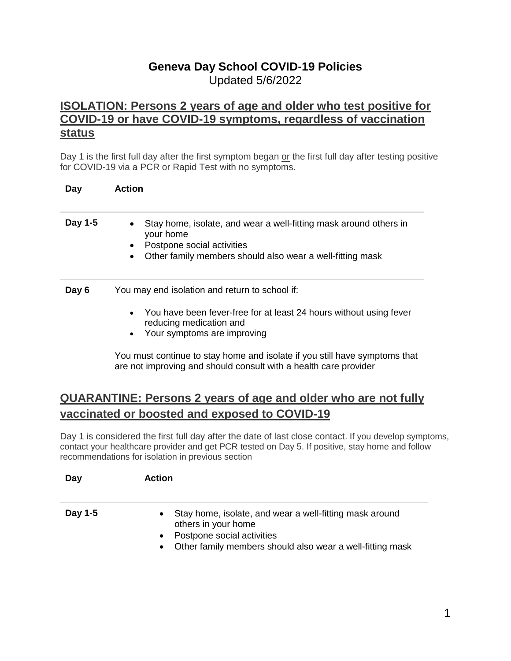## **Geneva Day School COVID-19 Policies** Updated 5/6/2022

### **ISOLATION: Persons [2 years of age and older](https://www.montgomerycountymd.gov/covid19/quarantine.html#isolation) who test positive for [COVID-19 or have COVID-19 symptoms, regardless of vaccination](https://www.montgomerycountymd.gov/covid19/quarantine.html#isolation)  [status](https://www.montgomerycountymd.gov/covid19/quarantine.html#isolation)**

Day 1 is the first full day after the first symptom began or the first full day after testing positive for COVID-19 via a PCR or Rapid Test with no symptoms.

| Day     | <b>Action</b>                                                                                                                                                                                                                                                                  |
|---------|--------------------------------------------------------------------------------------------------------------------------------------------------------------------------------------------------------------------------------------------------------------------------------|
| Day 1-5 | Stay home, isolate, and wear a well-fitting mask around others in<br>$\bullet$<br>your home<br>Postpone social activities<br>$\bullet$<br>Other family members should also wear a well-fitting mask<br>$\bullet$                                                               |
| Day 6   | You may end isolation and return to school if:<br>You have been fever-free for at least 24 hours without using fever<br>$\bullet$<br>reducing medication and<br>Your symptoms are improving<br>٠<br>You must continue to stay home and isolate if you still have symptoms that |

## **QUARANTINE: Persons 2 years of age and older who are not fully vaccinated or boosted and exposed to COVID-19**

are not improving and should consult with a health care provider

Day 1 is considered the first full day after the date of last close contact. If you develop symptoms, contact your healthcare provider and get PCR tested on Day 5. If positive, stay home and follow recommendations for isolation in previous section

# **Day Action Day 1-5** • Stay home, isolate, and wear a well-fitting mask around others in your home • Postpone social activities Other family members should also wear a well-fitting mask